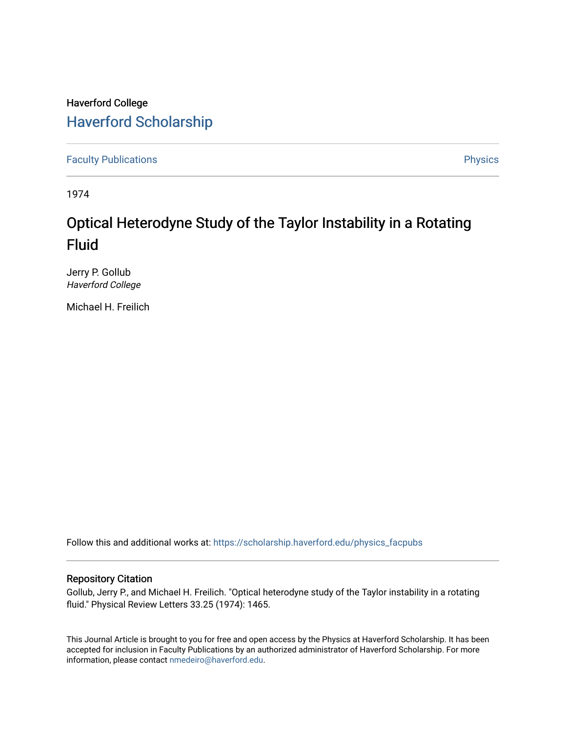### Haverford College [Haverford Scholarship](https://scholarship.haverford.edu/)

[Faculty Publications](https://scholarship.haverford.edu/physics_facpubs) **Physics** 

1974

## Optical Heterodyne Study of the Taylor Instability in a Rotating Fluid

Jerry P. Gollub Haverford College

Michael H. Freilich

Follow this and additional works at: [https://scholarship.haverford.edu/physics\\_facpubs](https://scholarship.haverford.edu/physics_facpubs?utm_source=scholarship.haverford.edu%2Fphysics_facpubs%2F248&utm_medium=PDF&utm_campaign=PDFCoverPages) 

### Repository Citation

Gollub, Jerry P., and Michael H. Freilich. "Optical heterodyne study of the Taylor instability in a rotating fluid." Physical Review Letters 33.25 (1974): 1465.

This Journal Article is brought to you for free and open access by the Physics at Haverford Scholarship. It has been accepted for inclusion in Faculty Publications by an authorized administrator of Haverford Scholarship. For more information, please contact [nmedeiro@haverford.edu.](mailto:nmedeiro@haverford.edu)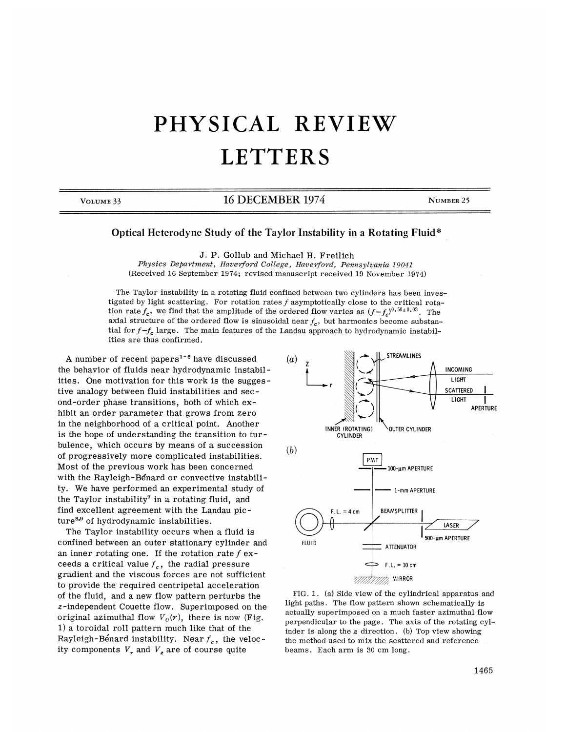# PHYSICAL REVIEW **LETTERS**

### VOLUME 33 16 DECEMBER 1974 NUMBER 25

#### Optical Heterodyne Study of the Taylor Instability in a Rotating Fluid\*

J. P. Gollub and Michael H. Freilich

Physics Department, Haverford College, Haverford, Pennsylvania 19041 (Received 16 September 1974; revised manuscript received 19 November 1974)

The Taylor instability in a rotating fluid confined between two cylinders has been investigated by light scattering. For rotation rates  $f$  asymptotically close to the critical rotatigated by light scattering. For rotation rates f asymptotically close to the critical rotation rate  $f_c$ , we find that the amplitude of the ordered flow varies as  $(f - f_c)^{0.50 \pm 0.03}$ . The axial structure of the ordered flow is sinusoidal near  $f_c$ , but harmonics become substantial for  $f-f_c$  large. The main features of the Landau approach to hydrodynamic instabilities are thus confirmed.

A number of recent papers<sup>1-6</sup> have discussed the behavior of fluids near hydrodynamic instabilities. One motivation for this work is the suggestive analogy between fluid instabilities and second-order phase transitions, both of which exhibit an order parameter that grows from zero in the neighborhood of a critical point. Another is the hope of understanding the transition to turbulence, which occurs by means of a succession of progressively more complicated instabilities. Most of the previous work has been concerned with the Rayleigh-Benard or convective instability. %e have performed an experimental study of the Taylor instability<sup>7</sup> in a rotating fluid, and find excellent agreement with the Landau picture<sup>8,9</sup> of hydrodynamic instabilities.

The Taylor instability occurs when a fluid is confined between an outer stationary cylinder and an inner rotating one. If the rotation rate  $f$  exceeds a critical value  $f_c$ , the radial pressur gradient and the viscous forces are not sufficient to provide the required centripetal acceleration of the fluid, and a new flow pattern perturbs the z-independent Couette flow. Superimposed on the original azimuthal flow  $V_{\theta}(r)$ , there is now (Fig. 1) a toroidal roll pattern much like that of the Rayleigh-Benard instability. Near  $f_c$ , the velocity components  $V_r$  and  $V_s$  are of course quite



FIG. 1. (a) Side view of the cylindrical apparatus and light paths. The flow pattern shown schematically is actually superimposed on a much faster azimuthal flow perpendicular to the page. The axis of the rotating cylinder is along the  $z$  direction. (b) Top view showing the method used to mix the scattered and reference beams. Each arm is 80 cm long.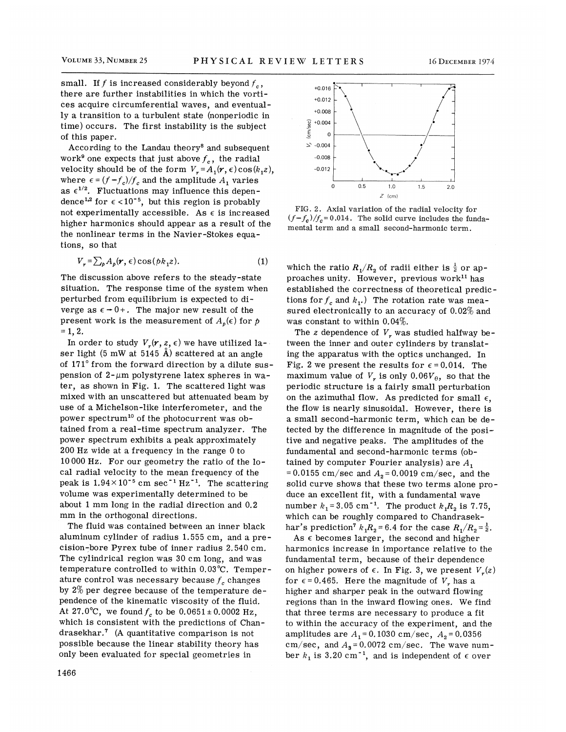small. If f is increased considerably beyond  $f_c$ , there are further instabilities in which the vortices acquire circumferential waves, and eventually a transition to a turbulent state (nonperiodic in time) occurs. The first instability is the subject of this paper.

According to the Landau theory<sup>8</sup> and subsequent work<sup>9</sup> one expects that just above  $f_c$ , the radial velocity should be of the form  $V_r = A_1(r, \epsilon) \cos(k_1 z)$ , where  $\epsilon = (f - f_c)/f_c$  and the amplitude  $A_1$  varies as  $\epsilon^{1/2}$ . Fluctuations may influence this dependence<sup>1,2</sup> for  $\epsilon$  <10<sup>-5</sup>, but this region is probably not experimentally accessible. As  $\epsilon$  is increased higher harmonics should appear as a result of the the nonlinear terms in the Navier-Stokes equations, so that

$$
V_r = \sum_{p} A_p(r, \epsilon) \cos(b k_1 z). \tag{1}
$$

The discussion above refers to the steady-state situation. The response time of the system when perturbed from equilibrium is expected to diverge as  $\epsilon \rightarrow 0+$ . The major new result of the present work is the measurement of  $A_{\rho}(\epsilon)$  for p  $= 1, 2.$ 

In order to study  $V_r(r, z, \epsilon)$  we have utilized laser light (5 mW at 5145 A) scattered at an angle of 171' from the forward direction by a dilute suspension of  $2-\mu m$  polystyrene latex spheres in water, as shown in Fig. 1. The scattered light was mixed with an unscattered but attenuated beam by use of a Michelson-like interferometer, and the power spectrum<sup>10</sup> of the photocurrent was obtained from a real-time spectrum analyzer. The power spectrum exhibits a peak approximately 200 Hz wide at a frequency in the range 0 to 10000 Hz. For our geometry the ratio of the local radial velocity to the mean frequency of the peak is  $1.94 \times 10^{-5}$  cm sec<sup>-1</sup> Hz<sup>-1</sup>. The scattering volume was experimentally determined to be about 1 mm long in the radial direction and 0.2 mm in the orthogonal directions.

The fIuid was contained between an inner black aluminum cylinder of radius 1.555 cm, and a precision-bore Pyrex tube of inner radius 2. 540 cm. The cylindrical region was 30 cm long, and was temperature controlled to within 0.03'C. Temperature control was necessary because  $f_c$  changes by 2% per degree because of the temperature dependence of the kinematic viscosity of the fluid. At 27.0°C, we found  $f_c$  to be  $0.0651 \pm 0.0002$  Hz, which is consistent with the predictions of Chanwhich is consistent with the predictions of Charles and the predictions of Charles and the set of  $\alpha$ possible because the linear stability theory has only been evaluated for special geometries in



FIG. 2. Axial variation of the radial velocity for  $(f-f_c)/f_c = 0.014$ . The solid curve includes the fundamental term and a small second-harmonic term.

which the ratio  $R_1/R_2$  of radii either is  $\frac{1}{2}$  or approaches unity. However, previous work<sup>11</sup> has established the correctness of theoretical predictions for  $f_c$  and  $k_1$ .) The rotation rate was measured electronically to an accuracy of 0.02% and was constant to within 0.04%.

The z dependence of  $V_r$  was studied halfway between the inner and outer cylinders by translating the apparatus with the optics unchanged. In Fig. 2 we present the results for  $\epsilon$  = 0.014. The maximum value of  $V_r$  is only 0.06 $V_\theta$ , so that the periodic structure is a fairly small perturbation on the azimuthal flow. As predicted for small  $\epsilon$ , the flow is nearly sinusoidal. However, there is a small second-harmonic term, which can be detected by the difference in magnitude of the positive and negative peaks. The amplitudes of the fundamental and second-harmonic terms (obtained by computer Fourier analysis) are  $A_1$ = 0.0155 cm/sec and  $A_2$  = 0.0019 cm/sec, and the solid curve shows that these two terms alone produce an excellent fit, with a fundamental wave number  $k_1 = 3.05$  cm<sup>-1</sup>. The product  $k_1R_2$  is 7.75, which can be roughly compared to Chandrasekhar's prediction<sup>7</sup>  $k_1R_2$  = 6.4 for the case  $R_1/R_2 = \frac{1}{2}$ .

As  $\epsilon$  becomes larger, the second and higher harmonies increase in importance relative to the fundamental term, because of their dependence on higher powers of  $\epsilon$ . In Fig. 3, we present  $V_r(z)$ for  $\epsilon$  = 0.465. Here the magnitude of  $V_r$  has a higher and sharper peak in the outward flowing regions than in the inward flowing ones. We find that three terms are necessary to produce a fit to within the accuracy of the experiment, and the amplitudes are  $A_1 = 0.1030 \text{ cm/sec}$ ,  $A_2 = 0.0356$ cm/sec, and  $A_3$  = 0.0072 cm/sec. The wave number  $k_1$  is 3.20 cm<sup>-1</sup>, and is independent of  $\epsilon$  over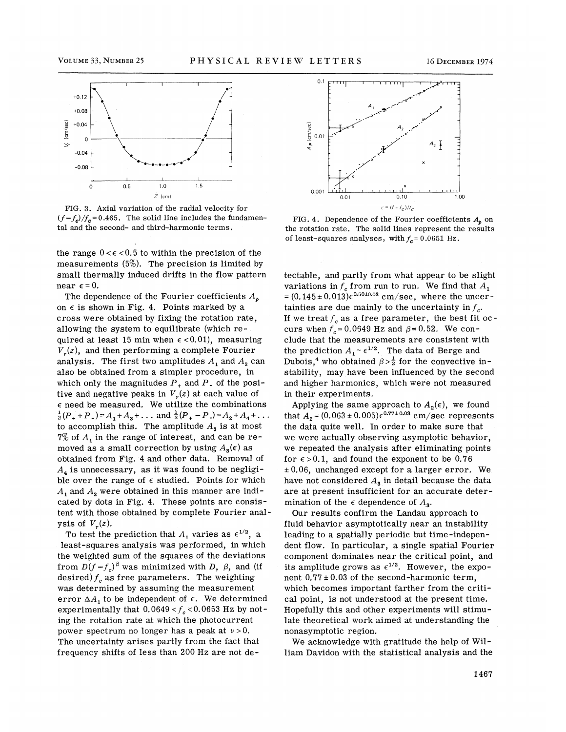

FIG. B. Axial variation of the radial velocity for  $(f-f_c)/f_c$ =0.465. The solid line includes the fundamental and the second- and third-harmonic terms.

the range  $0 < \epsilon < 0.5$  to within the precision of the measurements  $(5\%)$ . The precision is limited by small thermally induced drifts in the flow pattern near  $\epsilon$  = 0.

The dependence of the Fourier coefficients  $A_{\boldsymbol{\theta}}$ on  $\epsilon$  is shown in Fig. 4. Points marked by a cross were obtained by fixing the rotation rate, allowing the system to equilibrate (which required at least 15 min when  $\epsilon$  < 0.01), measuring  $V_r(z)$ , and then performing a complete Fourier analysis. The first two amplitudes  $A_1$  and  $A_2$  can also be obtained from a simpler procedure, in which only the magnitudes  $P_+$  and  $P_-$  of the positive and negative peaks in  $V_r(z)$  at each value of  $\epsilon$  need be measured. We utilize the combinations  $\frac{1}{2}(P_+ + P_-) = A_1 + A_3 + \dots$  and  $\frac{1}{2}(P_+ - P_-) = A_2 + A_4 + \dots$ to accomplish this. The amplitude  $A_3$  is at most  $7\%$  of  $A_1$  in the range of interest, and can be removed as a small correction by using  $A_3(\epsilon)$  as obtained from Fig. 4 and other data. Removal of  $A_4$  is unnecessary, as it was found to be negligible over the range of  $\epsilon$  studied. Points for which  $A_1$  and  $A_2$  were obtained in this manner are indicated by dots in Fig. 4. These points are consistent with those obtained by complete Fourier analysis of  $V_r(z)$ .

To test the prediction that  $A_1$  varies as  $\epsilon^{1/2}$ , a least-squares analysis was performed, in which the weighted sum of the squares of the deviations from  $D(f - f_c)^{\beta}$  was minimized with D,  $\beta$ , and (if desired)  $f_c$  as free parameters. The weighting was determined by assuming the measurement error  $\Delta A_1$  to be independent of  $\epsilon$ . We determined experimentally that  $0.0649 < f_c < 0.0653$  Hz by noting the rotation rate at which the photocurrent power spectrum no longer has a peak at  $\nu > 0$ . The uncertainty arises partly from the fact that frequency shifts of less than 200 Hz are not de-



FIG. 4. Dependence of the Fourier coefficients  $A_b$  on the rotation rate. The solid lines represent the results of least-squares analyses, with  $f_c$  = 0.0651 Hz.

tectable, and partly from what appear to be slight variations in  $f_c$  from run to run. We find that  $A_1$  $= (0.145 \pm 0.013) \epsilon^{0.50 \pm 0.03}$  cm/sec, where the uncertainties are due mainly to the uncertainty in  $f_{\gamma}$ . If we treat  $f_c$  as a free parameter, the best fit occurs when  $f_c = 0.0649$  Hz and  $\beta = 0.52$ . We conclude that the measurements are consistent with the prediction  $A_1 \sim \epsilon^{1/2}$ . The data of Berge and Dubois,<sup>4</sup> who obtained  $\beta > \frac{1}{2}$  for the convective instability, may have been influenced by the second and higher harmonics, which were not measured in their experiments.

Applying the same approach to  $A_2(\epsilon)$ , we found that  $A_2 = (0.063 \pm 0.005)\epsilon^{0.77 \pm 0.03}$  cm/sec represents the data quite well. In order to make sure that we were actually observing asymptotic behavior, we repeated the analysis after eliminating points for  $\epsilon > 0.1$ , and found the exponent to be 0.76  $\pm 0.06$ , unchanged except for a larger error. We have not considered  $A<sub>s</sub>$  in detail because the data are at present insufficient for an accurate determination of the  $\epsilon$  dependence of  $A_{\rm s}$ .

Our results confirm the Landau approach to fluid behavior asymptotically near an instability leading to a spatially periodic but time-independent flow. In particular, a single spatial Fourier component dominates near the critical point, and its amplitude grows as  $\epsilon^{1/2}$ . However, the exponent  $0.77 \pm 0.03$  of the second-harmonic term, which becomes important farther from the critical point, is not understood at the present time. Hopefully this and other experiments will stimulate theoretical work aimed at understanding the nonasymptotic region.

We acknowledge with gratitude the help of William Davidon with the statistical analysis and the